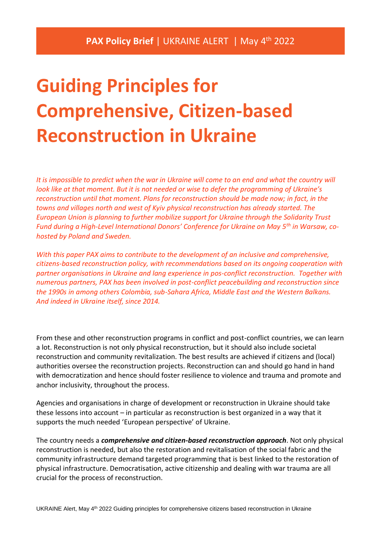# **Guiding Principles for Comprehensive, Citizen-based Reconstruction in Ukraine**

*It is impossible to predict when the war in Ukraine will come to an end and what the country will look like at that moment. But it is not needed or wise to defer the programming of Ukraine's reconstruction until that moment. Plans for reconstruction should be made now; in fact, in the towns and villages north and west of Kyiv physical reconstruction has already started. The European Union is planning to further mobilize support for Ukraine through the Solidarity Trust Fund during a High-Level International Donors' Conference for Ukraine on May 5th in Warsaw, cohosted by Poland and Sweden.* 

*With this paper PAX aims to contribute to the development of an inclusive and comprehensive, citizens-based reconstruction policy, with recommendations based on its ongoing cooperation with partner organisations in Ukraine and lang experience in pos-conflict reconstruction. Together with numerous partners, PAX has been involved in post-conflict peacebuilding and reconstruction since the 1990s in among others Colombia, sub-Sahara Africa, Middle East and the Western Balkans. And indeed in Ukraine itself, since 2014.*

From these and other reconstruction programs in conflict and post-conflict countries, we can learn a lot. Reconstruction is not only physical reconstruction, but it should also include societal reconstruction and community revitalization. The best results are achieved if citizens and (local) authorities oversee the reconstruction projects. Reconstruction can and should go hand in hand with democratization and hence should foster resilience to violence and trauma and promote and anchor inclusivity, throughout the process.

Agencies and organisations in charge of development or reconstruction in Ukraine should take these lessons into account – in particular as reconstruction is best organized in a way that it supports the much needed 'European perspective' of Ukraine.

The country needs a *comprehensive and citizen-based reconstruction approach*. Not only physical reconstruction is needed, but also the restoration and revitalisation of the social fabric and the community infrastructure demand targeted programming that is best linked to the restoration of physical infrastructure. Democratisation, active citizenship and dealing with war trauma are all crucial for the process of reconstruction.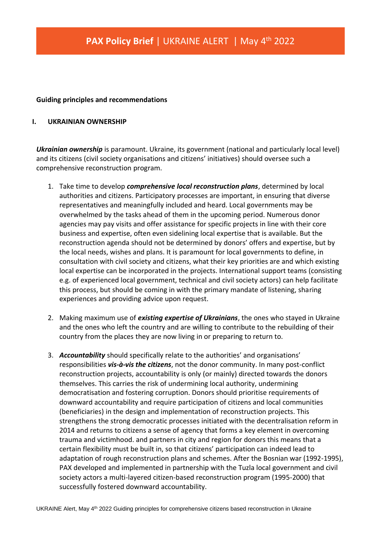#### **Guiding principles and recommendations**

#### **I. UKRAINIAN OWNERSHIP**

*Ukrainian ownership* is paramount. Ukraine, its government (national and particularly local level) and its citizens (civil society organisations and citizens' initiatives) should oversee such a comprehensive reconstruction program.

- 1. Take time to develop *comprehensive local reconstruction plans*, determined by local authorities and citizens. Participatory processes are important, in ensuring that diverse representatives and meaningfully included and heard. Local governments may be overwhelmed by the tasks ahead of them in the upcoming period. Numerous donor agencies may pay visits and offer assistance for specific projects in line with their core business and expertise, often even sidelining local expertise that is available. But the reconstruction agenda should not be determined by donors' offers and expertise, but by the local needs, wishes and plans. It is paramount for local governments to define, in consultation with civil society and citizens, what their key priorities are and which existing local expertise can be incorporated in the projects. International support teams (consisting e.g. of experienced local government, technical and civil society actors) can help facilitate this process, but should be coming in with the primary mandate of listening, sharing experiences and providing advice upon request.
- 2. Making maximum use of *existing expertise of Ukrainians*, the ones who stayed in Ukraine and the ones who left the country and are willing to contribute to the rebuilding of their country from the places they are now living in or preparing to return to.
- 3. *Accountability* should specifically relate to the authorities' and organisations' responsibilities *vis-à-vis the citizens*, not the donor community. In many post-conflict reconstruction projects, accountability is only (or mainly) directed towards the donors themselves. This carries the risk of undermining local authority, undermining democratisation and fostering corruption. Donors should prioritise requirements of downward accountability and require participation of citizens and local communities (beneficiaries) in the design and implementation of reconstruction projects. This strengthens the strong democratic processes initiated with the decentralisation reform in 2014 and returns to citizens a sense of agency that forms a key element in overcoming trauma and victimhood. and partners in city and region for donors this means that a certain flexibility must be built in, so that citizens' participation can indeed lead to adaptation of rough reconstruction plans and schemes. After the Bosnian war (1992-1995), PAX developed and implemented in partnership with the Tuzla local government and civil society actors a multi-layered citizen-based reconstruction program (1995-2000) that successfully fostered downward accountability.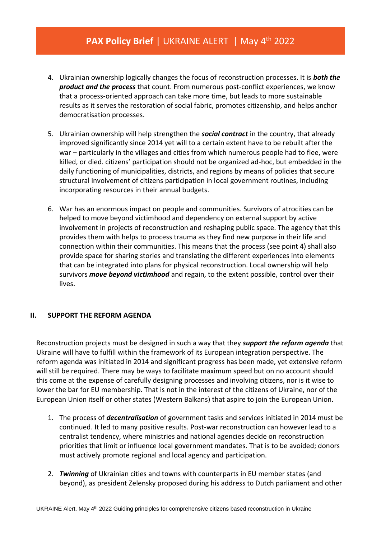## PAX Policy Brief | UKRAINE ALERT | May 4<sup>th</sup> 2022

- 4. Ukrainian ownership logically changes the focus of reconstruction processes. It is *both the product and the process* that count. From numerous post-conflict experiences, we know that a process-oriented approach can take more time, but leads to more sustainable results as it serves the restoration of social fabric, promotes citizenship, and helps anchor democratisation processes.
- 5. Ukrainian ownership will help strengthen the *social contract* in the country, that already improved significantly since 2014 yet will to a certain extent have to be rebuilt after the war – particularly in the villages and cities from which numerous people had to flee, were killed, or died. citizens' participation should not be organized ad-hoc, but embedded in the daily functioning of municipalities, districts, and regions by means of policies that secure structural involvement of citizens participation in local government routines, including incorporating resources in their annual budgets.
- 6. War has an enormous impact on people and communities. Survivors of atrocities can be helped to move beyond victimhood and dependency on external support by active involvement in projects of reconstruction and reshaping public space. The agency that this provides them with helps to process trauma as they find new purpose in their life and connection within their communities. This means that the process (see point 4) shall also provide space for sharing stories and translating the different experiences into elements that can be integrated into plans for physical reconstruction. Local ownership will help survivors *move beyond victimhood* and regain, to the extent possible, control over their lives.

### **II. SUPPORT THE REFORM AGENDA**

Reconstruction projects must be designed in such a way that they *support the reform agenda* that Ukraine will have to fulfill within the framework of its European integration perspective. The reform agenda was initiated in 2014 and significant progress has been made, yet extensive reform will still be required. There may be ways to facilitate maximum speed but on no account should this come at the expense of carefully designing processes and involving citizens, nor is it wise to lower the bar for EU membership. That is not in the interest of the citizens of Ukraine, nor of the European Union itself or other states (Western Balkans) that aspire to join the European Union.

- 1. The process of *decentralisation* of government tasks and services initiated in 2014 must be continued. It led to many positive results. Post-war reconstruction can however lead to a centralist tendency, where ministries and national agencies decide on reconstruction priorities that limit or influence local government mandates. That is to be avoided; donors must actively promote regional and local agency and participation.
- 2. *Twinning* of Ukrainian cities and towns with counterparts in EU member states (and beyond), as president Zelensky proposed during his address to Dutch parliament and other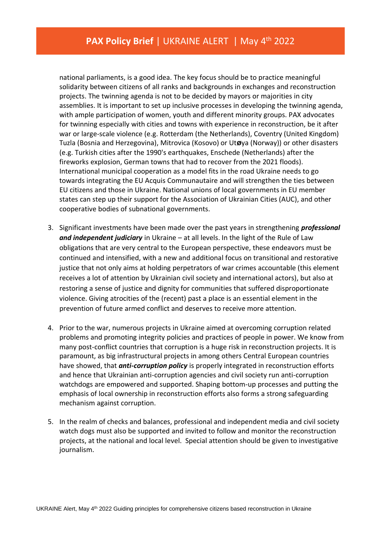national parliaments, is a good idea. The key focus should be to practice meaningful solidarity between citizens of all ranks and backgrounds in exchanges and reconstruction projects. The twinning agenda is not to be decided by mayors or majorities in city assemblies. It is important to set up inclusive processes in developing the twinning agenda, with ample participation of women, youth and different minority groups. PAX advocates for twinning especially with cities and towns with experience in reconstruction, be it after war or large-scale violence (e.g. Rotterdam (the Netherlands), Coventry (United Kingdom) Tuzla (Bosnia and Herzegovina), Mitrovica (Kosovo) or Ut**ø**ya (Norway)) or other disasters (e.g. Turkish cities after the 1990's earthquakes, Enschede (Netherlands) after the fireworks explosion, German towns that had to recover from the 2021 floods). International municipal cooperation as a model fits in the road Ukraine needs to go towards integrating the EU Acquis Communautaire and will strengthen the ties between EU citizens and those in Ukraine. National unions of local governments in EU member states can step up their support for the Association of Ukrainian Cities (AUC), and other cooperative bodies of subnational governments.

- 3. Significant investments have been made over the past years in strengthening *professional and independent judiciary* in Ukraine – at all levels. In the light of the Rule of Law obligations that are very central to the European perspective, these endeavors must be continued and intensified, with a new and additional focus on transitional and restorative justice that not only aims at holding perpetrators of war crimes accountable (this element receives a lot of attention by Ukrainian civil society and international actors), but also at restoring a sense of justice and dignity for communities that suffered disproportionate violence. Giving atrocities of the (recent) past a place is an essential element in the prevention of future armed conflict and deserves to receive more attention.
- 4. Prior to the war, numerous projects in Ukraine aimed at overcoming corruption related problems and promoting integrity policies and practices of people in power. We know from many post-conflict countries that corruption is a huge risk in reconstruction projects. It is paramount, as big infrastructural projects in among others Central European countries have showed, that *anti-corruption policy* is properly integrated in reconstruction efforts and hence that Ukrainian anti-corruption agencies and civil society run anti-corruption watchdogs are empowered and supported. Shaping bottom-up processes and putting the emphasis of local ownership in reconstruction efforts also forms a strong safeguarding mechanism against corruption.
- 5. In the realm of checks and balances, professional and independent media and civil society watch dogs must also be supported and invited to follow and monitor the reconstruction projects, at the national and local level. Special attention should be given to investigative journalism.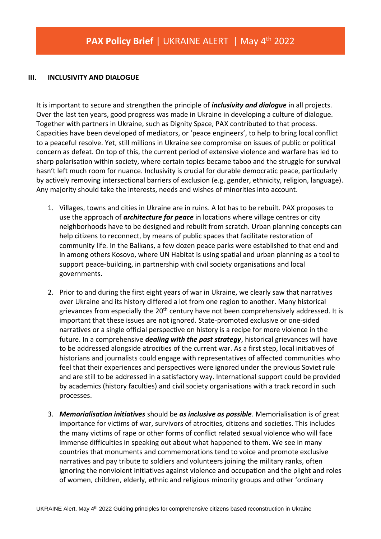#### **III. INCLUSIVITY AND DIALOGUE**

It is important to secure and strengthen the principle of *inclusivity and dialogue* in all projects. Over the last ten years, good progress was made in Ukraine in developing a culture of dialogue. Together with partners in Ukraine, such as Dignity Space, PAX contributed to that process. Capacities have been developed of mediators, or 'peace engineers', to help to bring local conflict to a peaceful resolve. Yet, still millions in Ukraine see compromise on issues of public or political concern as defeat. On top of this, the current period of extensive violence and warfare has led to sharp polarisation within society, where certain topics became taboo and the struggle for survival hasn't left much room for nuance. Inclusivity is crucial for durable democratic peace, particularly by actively removing intersectional barriers of exclusion (e.g. gender, ethnicity, religion, language). Any majority should take the interests, needs and wishes of minorities into account.

- 1. Villages, towns and cities in Ukraine are in ruins. A lot has to be rebuilt. PAX proposes to use the approach of *architecture for peace* in locations where village centres or city neighborhoods have to be designed and rebuilt from scratch. Urban planning concepts can help citizens to reconnect, by means of public spaces that facilitate restoration of community life. In the Balkans, a few dozen peace parks were established to that end and in among others Kosovo, where UN Habitat is using spatial and urban planning as a tool to support peace-building, in partnership with civil society organisations and local governments.
- 2. Prior to and during the first eight years of war in Ukraine, we clearly saw that narratives over Ukraine and its history differed a lot from one region to another. Many historical grievances from especially the 20<sup>th</sup> century have not been comprehensively addressed. It is important that these issues are not ignored. State-promoted exclusive or one-sided narratives or a single official perspective on history is a recipe for more violence in the future. In a comprehensive *dealing with the past strategy*, historical grievances will have to be addressed alongside atrocities of the current war. As a first step, local initiatives of historians and journalists could engage with representatives of affected communities who feel that their experiences and perspectives were ignored under the previous Soviet rule and are still to be addressed in a satisfactory way. International support could be provided by academics (history faculties) and civil society organisations with a track record in such processes.
- 3. *Memorialisation initiatives* should be *as inclusive as possible*. Memorialisation is of great importance for victims of war, survivors of atrocities, citizens and societies. This includes the many victims of rape or other forms of conflict related sexual violence who will face immense difficulties in speaking out about what happened to them. We see in many countries that monuments and commemorations tend to voice and promote exclusive narratives and pay tribute to soldiers and volunteers joining the military ranks, often ignoring the nonviolent initiatives against violence and occupation and the plight and roles of women, children, elderly, ethnic and religious minority groups and other 'ordinary